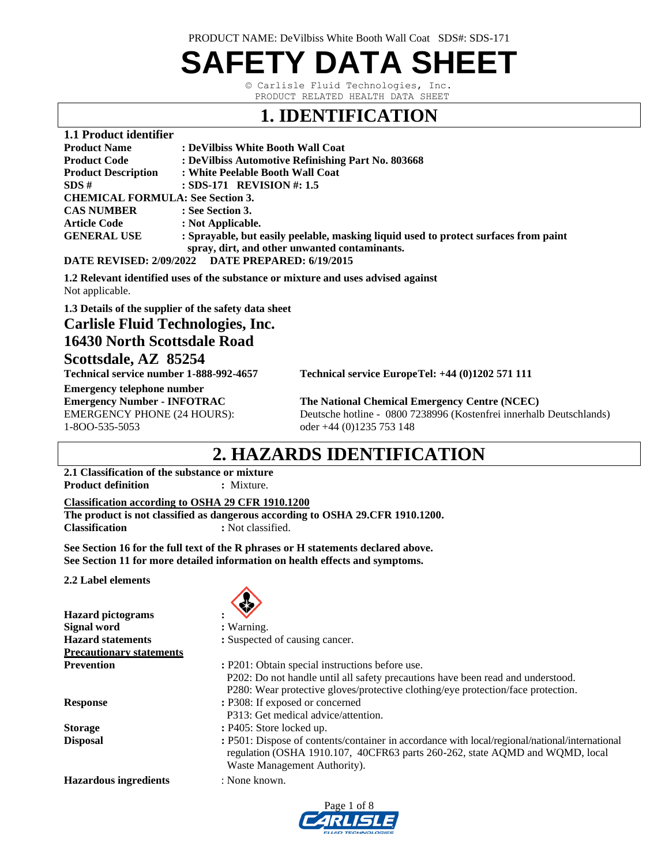PRODUCT NAME: DeVilbiss White Booth Wall Coat SDS#: SDS-171

# **SAFETY DATA SHEET**

© Carlisle Fluid Technologies, Inc. PRODUCT RELATED HEALTH DATA SHEET

### **1. IDENTIFICATION**

| 1.1 Product identifier                  |                                                                                      |
|-----------------------------------------|--------------------------------------------------------------------------------------|
| <b>Product Name</b>                     | : DeVilbiss White Booth Wall Coat                                                    |
| <b>Product Code</b>                     | : DeVilbiss Automotive Refinishing Part No. 803668                                   |
| <b>Product Description</b>              | : White Peelable Booth Wall Coat                                                     |
| SDS#                                    | $:$ SDS-171 REVISION #: 1.5                                                          |
| <b>CHEMICAL FORMULA: See Section 3.</b> |                                                                                      |
| <b>CAS NUMBER</b>                       | : See Section 3.                                                                     |
| <b>Article Code</b>                     | : Not Applicable.                                                                    |
| <b>GENERAL USE</b>                      | : Sprayable, but easily peelable, masking liquid used to protect surfaces from paint |
|                                         | spray, dirt, and other unwanted contaminants.                                        |
| <b>Bimp Brytopp</b>                     | $A/0.0404$ Different provided $A/0.045$                                              |

**DATE REVISED: 2/09/2022 DATE PREPARED: 6/19/2015**

**1.2 Relevant identified uses of the substance or mixture and uses advised against** Not applicable.

**1.3 Details of the supplier of the safety data sheet**

#### **Carlisle Fluid Technologies, Inc. 16430 North Scottsdale Road Scottsdale, AZ 85254**

**Technical service number 1-888-992-4657 Technical service EuropeTel: +44 (0)1202 571 111** 

**Emergency telephone number** 1-8OO-535-5053 oder +44 (0)1235 753 148

**The National Chemical Emergency Centre (NCEC)** EMERGENCY PHONE (24 HOURS): Deutsche hotline - 0800 7238996 (Kostenfrei innerhalb Deutschlands)

### **2. HAZARDS IDENTIFICATION**

**2.1 Classification of the substance or mixture Product definition : Mixture.** 

#### **Classification according to OSHA 29 CFR 1910.1200**

**The product is not classified as dangerous according to OSHA 29.CFR 1910.1200. Classification : Not classified.** 

**See Section 16 for the full text of the R phrases or H statements declared above. See Section 11 for more detailed information on health effects and symptoms.**

**2.2 Label elements** 

|                                 | 89                                                                                                                                                                                                             |
|---------------------------------|----------------------------------------------------------------------------------------------------------------------------------------------------------------------------------------------------------------|
| <b>Hazard</b> pictograms        |                                                                                                                                                                                                                |
| Signal word                     | : Warning.                                                                                                                                                                                                     |
| <b>Hazard statements</b>        | : Suspected of causing cancer.                                                                                                                                                                                 |
| <b>Precautionary statements</b> |                                                                                                                                                                                                                |
| <b>Prevention</b>               | : P201: Obtain special instructions before use.                                                                                                                                                                |
|                                 | P202: Do not handle until all safety precautions have been read and understood.                                                                                                                                |
|                                 | P280: Wear protective gloves/protective clothing/eye protection/face protection.                                                                                                                               |
| <b>Response</b>                 | : P308: If exposed or concerned                                                                                                                                                                                |
|                                 | P313: Get medical advice/attention.                                                                                                                                                                            |
| <b>Storage</b>                  | $:$ P405: Store locked up.                                                                                                                                                                                     |
| <b>Disposal</b>                 | : P501: Dispose of contents/container in accordance with local/regional/national/international<br>regulation (OSHA 1910.107, 40CFR63 parts 260-262, state AQMD and WQMD, local<br>Waste Management Authority). |
| <b>Hazardous ingredients</b>    | : None known.                                                                                                                                                                                                  |
|                                 |                                                                                                                                                                                                                |

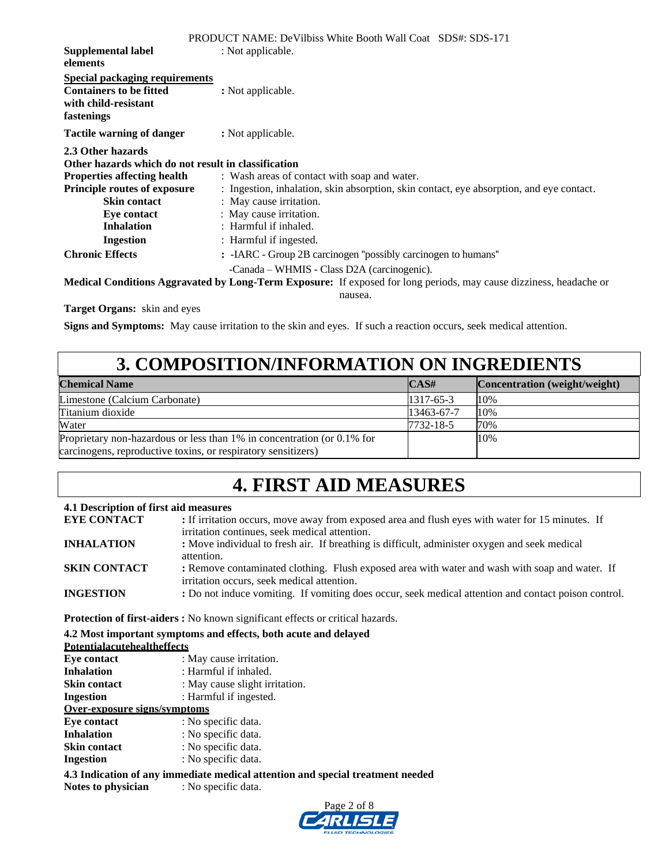|                                                                                                                                                       | <b>PRODUCT NAME: DeVilbiss White Booth Wall Coat SDS#: SDS-171</b>                                                                                                           |
|-------------------------------------------------------------------------------------------------------------------------------------------------------|------------------------------------------------------------------------------------------------------------------------------------------------------------------------------|
| Supplemental label<br>elements                                                                                                                        | : Not applicable.                                                                                                                                                            |
| <b>Special packaging requirements</b><br><b>Containers to be fitted</b><br>with child-resistant<br>fastenings                                         | : Not applicable.                                                                                                                                                            |
| <b>Tactile warning of danger</b>                                                                                                                      | : Not applicable.                                                                                                                                                            |
| 2.3 Other hazards<br>Other hazards which do not result in classification<br><b>Properties affecting health</b><br><b>Principle routes of exposure</b> | : Wash areas of contact with soap and water.<br>: Ingestion, inhalation, skin absorption, skin contact, eye absorption, and eye contact.                                     |
| <b>Skin contact</b><br>Eye contact                                                                                                                    | : May cause irritation.<br>: May cause irritation.                                                                                                                           |
| <b>Inhalation</b><br>Ingestion                                                                                                                        | : Harmful if inhaled.<br>: Harmful if ingested.                                                                                                                              |
| <b>Chronic Effects</b>                                                                                                                                | : -IARC - Group 2B carcinogen "possibly carcinogen to humans"                                                                                                                |
|                                                                                                                                                       | -Canada – WHMIS - Class D2A (carcinogenic).<br>Medical Conditions Aggravated by Long-Term Exposure: If exposed for long periods, may cause dizziness, headache or<br>nausea. |
| <b>Target Organs:</b> skin and eyes                                                                                                                   |                                                                                                                                                                              |

**Signs and Symptoms:** May cause irritation to the skin and eyes. If such a reaction occurs, seek medical attention.

### **3. COMPOSITION/INFORMATION ON INGREDIENTS**

| <b>Chemical Name</b>                                                    | CAS#            | Concentration (weight/weight) |
|-------------------------------------------------------------------------|-----------------|-------------------------------|
| Limestone (Calcium Carbonate)                                           | $1317 - 65 - 3$ | 10%                           |
| Titanium dioxide                                                        | 13463-67-7      | 10%                           |
| Water                                                                   | 7732-18-5       | 70%                           |
| Proprietary non-hazardous or less than 1% in concentration (or 0.1% for |                 | 10%                           |
| carcinogens, reproductive toxins, or respiratory sensitizers)           |                 |                               |

## **4. FIRST AID MEASURES**

#### **4.1 Description of first aid measures**

| <b>EYE CONTACT</b>  | : If irritation occurs, move away from exposed area and flush eyes with water for 15 minutes. If                                             |
|---------------------|----------------------------------------------------------------------------------------------------------------------------------------------|
|                     | irritation continues, seek medical attention.                                                                                                |
| <b>INHALATION</b>   | : Move individual to fresh air. If breathing is difficult, administer oxygen and seek medical<br>attention.                                  |
| <b>SKIN CONTACT</b> | : Remove contaminated clothing. Flush exposed area with water and wash with soap and water. If<br>irritation occurs, seek medical attention. |
| <b>INGESTION</b>    | : Do not induce vomiting. If vomiting does occur, seek medical attention and contact poison control.                                         |

**Protection of first-aiders :** No known significant effects or critical hazards.

#### **4.2 Most important symptoms and effects, both acute and delayed**

#### **Potentialacutehealtheffects**

| Eve contact                                                                    | : May cause irritation.        |  |  |
|--------------------------------------------------------------------------------|--------------------------------|--|--|
| <b>Inhalation</b>                                                              | : Harmful if inhaled.          |  |  |
| <b>Skin contact</b>                                                            | : May cause slight irritation. |  |  |
| Ingestion                                                                      | : Harmful if ingested.         |  |  |
| Over-exposure signs/symptoms                                                   |                                |  |  |
| Eye contact                                                                    | : No specific data.            |  |  |
| <b>Inhalation</b>                                                              | : No specific data.            |  |  |
| <b>Skin contact</b>                                                            | : No specific data.            |  |  |
| <b>Ingestion</b>                                                               | : No specific data.            |  |  |
| 4.3 Indication of any immediate medical attention and special treatment needed |                                |  |  |

**Notes to physician** : No specific data.

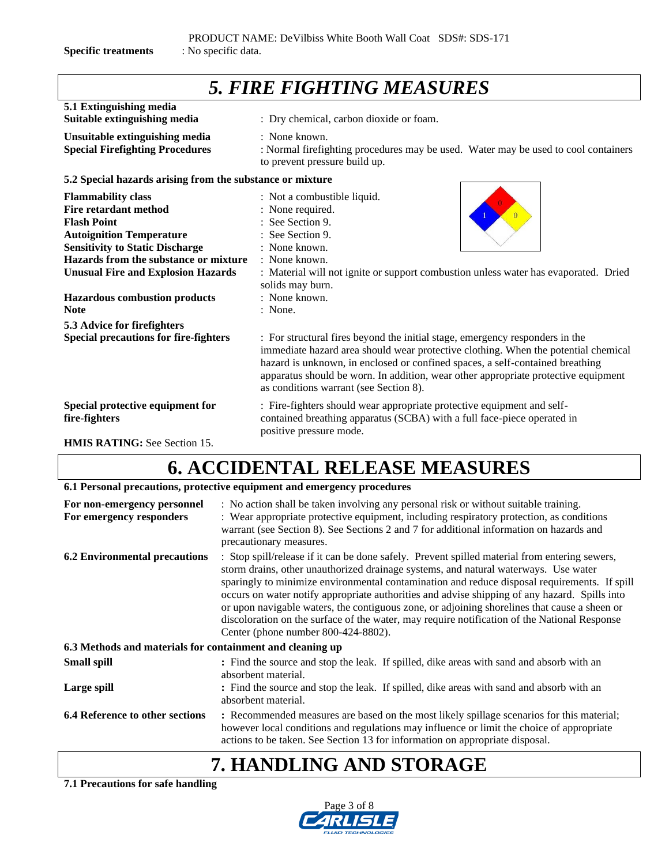*5. FIRE FIGHTING MEASURES* **5.1 Extinguishing media Suitable extinguishing media** : Dry chemical, carbon dioxide or foam. **Unsuitable extinguishing media** : None known. **Special Firefighting Procedures** : Normal firefighting procedures may be used. Water may be used to cool containers to prevent pressure build up. **5.2 Special hazards arising from the substance or mixture Flammability class** : Not a combustible liquid. **Fire retardant method** : None required. **Flash Point** : See Section 9. **Autoignition Temperature** : See Section 9. **Sensitivity to Static Discharge : None known. Hazards from the substance or mixture** : None known. **Unusual Fire and Explosion Hazards** : Material will not ignite or support combustion unless water has evaporated. Dried solids may burn. **Hazardous combustion products** : None known. **Note** : None. **5.3 Advice for firefighters Special precautions for fire-fighters** : For structural fires beyond the initial stage, emergency responders in the immediate hazard area should wear protective clothing. When the potential chemical hazard is unknown, in enclosed or confined spaces, a self-contained breathing apparatus should be worn. In addition, wear other appropriate protective equipment as conditions warrant (see Section 8). **Special protective equipment for :** Fire-fighters should wear appropriate protective equipment and self**fire-fighters** contained breathing apparatus (SCBA) with a full face-piece operated in positive pressure mode.

**HMIS RATING:** See Section 15.

## **6. ACCIDENTAL RELEASE MEASURES**

#### **6.1 Personal precautions, protective equipment and emergency procedures**

| For non-emergency personnel<br>For emergency responders   | : No action shall be taken involving any personal risk or without suitable training.<br>: Wear appropriate protective equipment, including respiratory protection, as conditions<br>warrant (see Section 8). See Sections 2 and 7 for additional information on hazards and<br>precautionary measures.                                                                                                                                                                                                                                                                                                                       |
|-----------------------------------------------------------|------------------------------------------------------------------------------------------------------------------------------------------------------------------------------------------------------------------------------------------------------------------------------------------------------------------------------------------------------------------------------------------------------------------------------------------------------------------------------------------------------------------------------------------------------------------------------------------------------------------------------|
| <b>6.2 Environmental precautions</b>                      | : Stop spill/release if it can be done safely. Prevent spilled material from entering sewers,<br>storm drains, other unauthorized drainage systems, and natural waterways. Use water<br>sparingly to minimize environmental contamination and reduce disposal requirements. If spill<br>occurs on water notify appropriate authorities and advise shipping of any hazard. Spills into<br>or upon navigable waters, the contiguous zone, or adjoining shorelines that cause a sheen or<br>discoloration on the surface of the water, may require notification of the National Response<br>Center (phone number 800-424-8802). |
| 6.3 Methods and materials for containment and cleaning up |                                                                                                                                                                                                                                                                                                                                                                                                                                                                                                                                                                                                                              |
| <b>Small spill</b>                                        | : Find the source and stop the leak. If spilled, dike areas with sand and absorb with an<br>absorbent material.                                                                                                                                                                                                                                                                                                                                                                                                                                                                                                              |
| Large spill                                               | : Find the source and stop the leak. If spilled, dike areas with sand and absorb with an<br>absorbent material.                                                                                                                                                                                                                                                                                                                                                                                                                                                                                                              |
| <b>6.4 Reference to other sections</b>                    | : Recommended measures are based on the most likely spillage scenarios for this material;<br>however local conditions and regulations may influence or limit the choice of appropriate<br>actions to be taken. See Section 13 for information on appropriate disposal.                                                                                                                                                                                                                                                                                                                                                       |

# **7. HANDLING AND STORAGE**

#### **7.1 Precautions for safe handling**

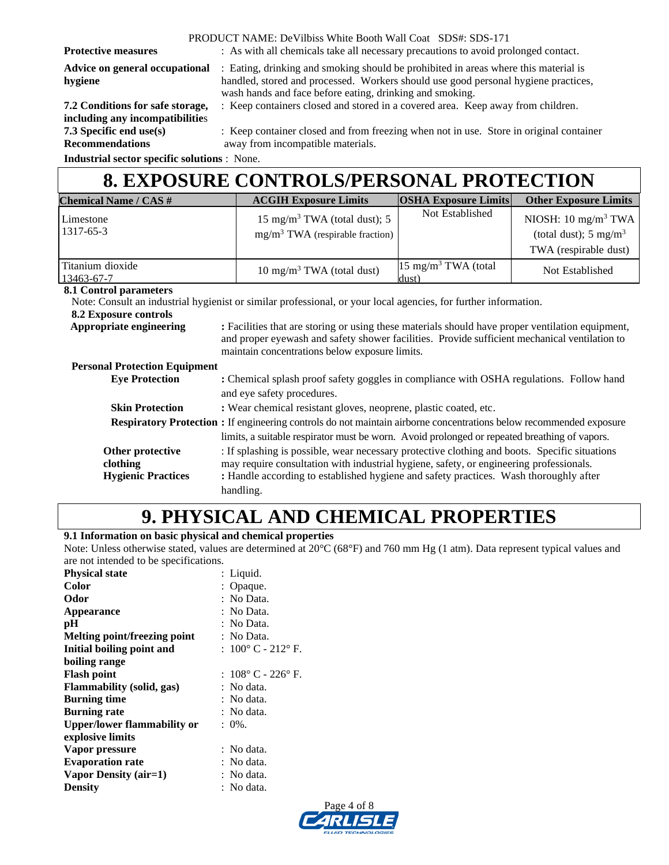PRODUCT NAME: DeVilbiss White Booth Wall Coat SDS#: SDS-171

**Protective measures** : As with all chemicals take all necessary precautions to avoid prolonged contact.

**including any incompatibilitie**s **Recommendations** away from incompatible materials.

**Advice on general occupational** : Eating, drinking and smoking should be prohibited in areas where this material is **hygiene** handled, stored and processed. Workers should use good personal hygiene practices, wash hands and face before eating, drinking and smoking.

**7.2 Conditions for safe storage,** : Keep containers closed and stored in a covered area. Keep away from children.

**7.3 Specific end use(s)** : Keep container closed and from freezing when not in use. Store in original container

**Industrial sector specific solutions** : None.

### **8. EXPOSURE CONTROLS/PERSONAL PROTECTION**

| <b>Chemical Name / CAS #</b>         |                                                                                                                                                                                                                                                     | <b>ACGIH Exposure Limits</b>                                                                                               | <b>OSHA Exposure Limits</b>              | <b>Other Exposure Limits</b>     |
|--------------------------------------|-----------------------------------------------------------------------------------------------------------------------------------------------------------------------------------------------------------------------------------------------------|----------------------------------------------------------------------------------------------------------------------------|------------------------------------------|----------------------------------|
| Limestone                            |                                                                                                                                                                                                                                                     | 15 mg/m <sup>3</sup> TWA (total dust); 5                                                                                   | Not Established                          | NIOSH: $10 \text{ mg/m}^3$ TWA   |
| 1317-65-3                            |                                                                                                                                                                                                                                                     | $mg/m3 TWA$ (respirable fraction)                                                                                          |                                          | (total dust); $5 \text{ mg/m}^3$ |
|                                      |                                                                                                                                                                                                                                                     |                                                                                                                            |                                          | TWA (respirable dust)            |
| Titanium dioxide<br>13463-67-7       |                                                                                                                                                                                                                                                     | 10 mg/m <sup>3</sup> TWA (total dust)                                                                                      | 15 mg/m <sup>3</sup> TWA (total<br>dust) | Not Established                  |
| 8.1 Control parameters               |                                                                                                                                                                                                                                                     |                                                                                                                            |                                          |                                  |
|                                      |                                                                                                                                                                                                                                                     | Note: Consult an industrial hygienist or similar professional, or your local agencies, for further information.            |                                          |                                  |
| 8.2 Exposure controls                |                                                                                                                                                                                                                                                     |                                                                                                                            |                                          |                                  |
| Appropriate engineering              | : Facilities that are storing or using these materials should have proper ventilation equipment,<br>and proper eyewash and safety shower facilities. Provide sufficient mechanical ventilation to<br>maintain concentrations below exposure limits. |                                                                                                                            |                                          |                                  |
| <b>Personal Protection Equipment</b> |                                                                                                                                                                                                                                                     |                                                                                                                            |                                          |                                  |
| <b>Eye Protection</b>                | : Chemical splash proof safety goggles in compliance with OSHA regulations. Follow hand<br>and eye safety procedures.                                                                                                                               |                                                                                                                            |                                          |                                  |
| <b>Skin Protection</b>               |                                                                                                                                                                                                                                                     | : Wear chemical resistant gloves, neoprene, plastic coated, etc.                                                           |                                          |                                  |
|                                      |                                                                                                                                                                                                                                                     | <b>Respiratory Protection :</b> If engineering controls do not maintain airborne concentrations below recommended exposure |                                          |                                  |
|                                      |                                                                                                                                                                                                                                                     | limits, a suitable respirator must be worn. Avoid prolonged or repeated breathing of vapors.                               |                                          |                                  |

|                           | Trans, a suitable respirator must be worn. Avoid profonged or repeated breathing or vapors.   |
|---------------------------|-----------------------------------------------------------------------------------------------|
| Other protective          | : If splashing is possible, wear necessary protective clothing and boots. Specific situations |
| clothing                  | may require consultation with industrial hygiene, safety, or engineering professionals.       |
| <b>Hygienic Practices</b> | : Handle according to established hygiene and safety practices. Wash thoroughly after         |
|                           | handling.                                                                                     |

# **9. PHYSICAL AND CHEMICAL PROPERTIES**

**9.1 Information on basic physical and chemical properties**

Note: Unless otherwise stated, values are determined at 20°C (68°F) and 760 mm Hg (1 atm). Data represent typical values and are not intended to be specifications.

| <b>Physical state</b>              | : Liquid.                            |
|------------------------------------|--------------------------------------|
| Color                              | : Opaque.                            |
| Odor                               | : No Data.                           |
| Appearance                         | : No Data.                           |
| pН                                 | : No Data.                           |
| Melting point/freezing point       | : No Data.                           |
| Initial boiling point and          | : $100^{\circ}$ C - $212^{\circ}$ F. |
| boiling range                      |                                      |
| <b>Flash point</b>                 | : 108°C - 226°F.                     |
| <b>Flammability (solid, gas)</b>   | : No data.                           |
| <b>Burning time</b>                | : No data.                           |
| <b>Burning rate</b>                | : No data.                           |
| <b>Upper/lower flammability or</b> | $: 0\%$ .                            |
| explosive limits                   |                                      |
| Vapor pressure                     | : No data.                           |
| <b>Evaporation rate</b>            | : No data.                           |
| Vapor Density (air=1)              | : No data.                           |
| <b>Density</b>                     | : No data.                           |

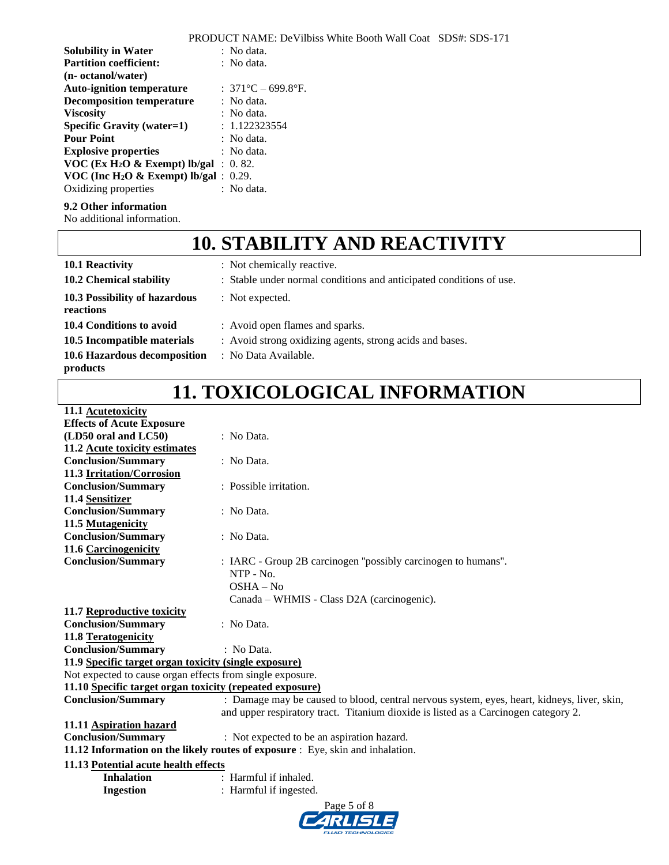|                                                      | <b>PRODUCT NAME: DeVilbiss White Booth Wall Coat SDS#: SDS-171</b> |
|------------------------------------------------------|--------------------------------------------------------------------|
| <b>Solubility in Water</b>                           | $\therefore$ No data.                                              |
| <b>Partition coefficient:</b>                        | $\therefore$ No data.                                              |
| (n- octanol/water)                                   |                                                                    |
| <b>Auto-ignition temperature</b>                     | : $371^{\circ}$ C – 699.8°F.                                       |
| <b>Decomposition temperature</b>                     | $\therefore$ No data.                                              |
| <b>Viscosity</b>                                     | : No data.                                                         |
| <b>Specific Gravity (water=1)</b>                    | : 1.122323554                                                      |
| <b>Pour Point</b>                                    | $\therefore$ No data.                                              |
| <b>Explosive properties</b>                          | $\therefore$ No data.                                              |
| VOC (Ex H <sub>2</sub> O & Exempt) lb/gal : 0.82.    |                                                                    |
| VOC (Inc H <sub>2</sub> O & Exempt) lb/gal: $0.29$ . |                                                                    |
| Oxidizing properties                                 | : No data.                                                         |

#### **9.2 Other information**

No additional information.

# **10. STABILITY AND REACTIVITY**

| 10.1 Reactivity                            | : Not chemically reactive.                                          |
|--------------------------------------------|---------------------------------------------------------------------|
| 10.2 Chemical stability                    | : Stable under normal conditions and anticipated conditions of use. |
| 10.3 Possibility of hazardous<br>reactions | : Not expected.                                                     |
| 10.4 Conditions to avoid                   | : Avoid open flames and sparks.                                     |
| 10.5 Incompatible materials                | : Avoid strong oxidizing agents, strong acids and bases.            |
| 10.6 Hazardous decomposition<br>products   | : No Data Available.                                                |

# **11. TOXICOLOGICAL INFORMATION**

| 11.1 Acutetoxicity                                        |                                                                                             |  |  |  |
|-----------------------------------------------------------|---------------------------------------------------------------------------------------------|--|--|--|
| <b>Effects of Acute Exposure</b>                          |                                                                                             |  |  |  |
| (LD50 oral and LC50)                                      | : No Data.                                                                                  |  |  |  |
| 11.2 Acute toxicity estimates                             |                                                                                             |  |  |  |
| <b>Conclusion/Summary</b>                                 | : No Data.                                                                                  |  |  |  |
| 11.3 Irritation/Corrosion                                 |                                                                                             |  |  |  |
| <b>Conclusion/Summary</b>                                 | : Possible irritation.                                                                      |  |  |  |
| 11.4 Sensitizer                                           |                                                                                             |  |  |  |
| <b>Conclusion/Summary</b>                                 | : No Data.                                                                                  |  |  |  |
| 11.5 Mutagenicity                                         |                                                                                             |  |  |  |
| <b>Conclusion/Summary</b>                                 | : No Data.                                                                                  |  |  |  |
| 11.6 Carcinogenicity                                      |                                                                                             |  |  |  |
| <b>Conclusion/Summary</b>                                 | : IARC - Group 2B carcinogen "possibly carcinogen to humans".                               |  |  |  |
|                                                           | $NTP - No.$                                                                                 |  |  |  |
|                                                           | $OSHA - No$                                                                                 |  |  |  |
|                                                           | Canada – WHMIS - Class D2A (carcinogenic).                                                  |  |  |  |
| 11.7 Reproductive toxicity                                |                                                                                             |  |  |  |
| <b>Conclusion/Summary</b>                                 | : No Data.                                                                                  |  |  |  |
| 11.8 Teratogenicity                                       |                                                                                             |  |  |  |
| <b>Conclusion/Summary</b>                                 | : No Data.                                                                                  |  |  |  |
| 11.9 Specific target organ toxicity (single exposure)     |                                                                                             |  |  |  |
| Not expected to cause organ effects from single exposure. |                                                                                             |  |  |  |
| 11.10 Specific target organ toxicity (repeated exposure)  |                                                                                             |  |  |  |
| <b>Conclusion/Summary</b>                                 | : Damage may be caused to blood, central nervous system, eyes, heart, kidneys, liver, skin, |  |  |  |
|                                                           | and upper respiratory tract. Titanium dioxide is listed as a Carcinogen category 2.         |  |  |  |
| 11.11 Aspiration hazard                                   |                                                                                             |  |  |  |
| <b>Conclusion/Summary</b>                                 | : Not expected to be an aspiration hazard.                                                  |  |  |  |
|                                                           | 11.12 Information on the likely routes of exposure : Eye, skin and inhalation.              |  |  |  |
| 11.13 Potential acute health effects                      |                                                                                             |  |  |  |
| <b>Inhalation</b>                                         | : Harmful if inhaled.                                                                       |  |  |  |
| <b>Ingestion</b>                                          | : Harmful if ingested.                                                                      |  |  |  |
| Page 5 of 8                                               |                                                                                             |  |  |  |
|                                                           |                                                                                             |  |  |  |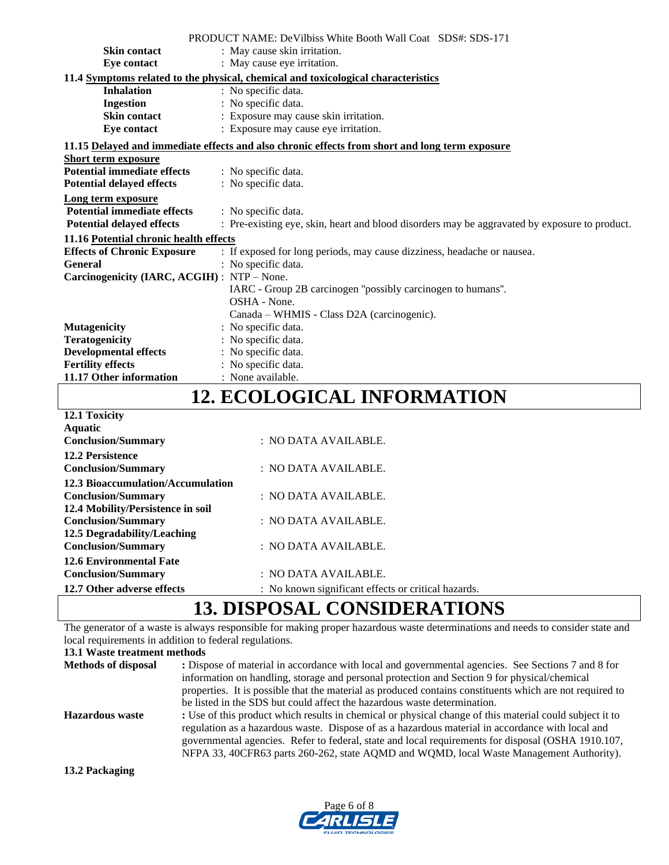|                                                                                   | <b>PRODUCT NAME: DeVilbiss White Booth Wall Coat SDS#: SDS-171</b>                             |  |  |  |  |  |
|-----------------------------------------------------------------------------------|------------------------------------------------------------------------------------------------|--|--|--|--|--|
| <b>Skin contact</b>                                                               | : May cause skin irritation.                                                                   |  |  |  |  |  |
| Eye contact                                                                       | : May cause eye irritation.                                                                    |  |  |  |  |  |
| 11.4 Symptoms related to the physical, chemical and toxicological characteristics |                                                                                                |  |  |  |  |  |
| <b>Inhalation</b>                                                                 | : No specific data.                                                                            |  |  |  |  |  |
| <b>Ingestion</b>                                                                  | : No specific data.                                                                            |  |  |  |  |  |
| <b>Skin contact</b>                                                               | : Exposure may cause skin irritation.                                                          |  |  |  |  |  |
| Eye contact                                                                       | : Exposure may cause eye irritation.                                                           |  |  |  |  |  |
|                                                                                   | 11.15 Delayed and immediate effects and also chronic effects from short and long term exposure |  |  |  |  |  |
| <b>Short term exposure</b>                                                        |                                                                                                |  |  |  |  |  |
| <b>Potential immediate effects</b>                                                | : No specific data.                                                                            |  |  |  |  |  |
| <b>Potential delayed effects</b>                                                  | : No specific data.                                                                            |  |  |  |  |  |
| Long term exposure                                                                |                                                                                                |  |  |  |  |  |
| <b>Potential immediate effects</b>                                                | : No specific data.                                                                            |  |  |  |  |  |
| <b>Potential delayed effects</b>                                                  | : Pre-existing eye, skin, heart and blood disorders may be aggravated by exposure to product.  |  |  |  |  |  |
| 11.16 Potential chronic health effects                                            |                                                                                                |  |  |  |  |  |
| <b>Effects of Chronic Exposure</b>                                                | : If exposed for long periods, may cause dizziness, headache or nausea.                        |  |  |  |  |  |
| <b>General</b>                                                                    | : No specific data.                                                                            |  |  |  |  |  |
| Carcinogenicity (IARC, ACGIH) : NTP - None.                                       |                                                                                                |  |  |  |  |  |
|                                                                                   | IARC - Group 2B carcinogen "possibly carcinogen to humans".                                    |  |  |  |  |  |
|                                                                                   | OSHA - None.                                                                                   |  |  |  |  |  |
|                                                                                   | Canada – WHMIS - Class D2A (carcinogenic).                                                     |  |  |  |  |  |
| <b>Mutagenicity</b>                                                               | : No specific data.                                                                            |  |  |  |  |  |
| <b>Teratogenicity</b>                                                             | : No specific data.                                                                            |  |  |  |  |  |
| <b>Developmental effects</b>                                                      | : No specific data.                                                                            |  |  |  |  |  |
| <b>Fertility effects</b>                                                          | : No specific data.                                                                            |  |  |  |  |  |
| 11.17 Other information                                                           | : None available.                                                                              |  |  |  |  |  |

### **12. ECOLOGICAL INFORMATION**

| 12.1 Toxicity                     |                                                     |
|-----------------------------------|-----------------------------------------------------|
| <b>Aquatic</b>                    |                                                     |
| <b>Conclusion/Summary</b>         | $:$ NO DATA AVAILABLE.                              |
| <b>12.2 Persistence</b>           |                                                     |
| <b>Conclusion/Summary</b>         | $:$ NO DATA AVAILABLE.                              |
| 12.3 Bioaccumulation/Accumulation |                                                     |
| <b>Conclusion/Summary</b>         | $\therefore$ NO DATA AVAILABLE.                     |
| 12.4 Mobility/Persistence in soil |                                                     |
| <b>Conclusion/Summary</b>         | : NO DATA AVAILABLE.                                |
| 12.5 Degradability/Leaching       |                                                     |
| <b>Conclusion/Summary</b>         | $:$ NO DATA AVAILABLE.                              |
| <b>12.6 Environmental Fate</b>    |                                                     |
| <b>Conclusion/Summary</b>         | $:$ NO DATA AVAILABLE.                              |
| 12.7 Other adverse effects        | : No known significant effects or critical hazards. |
|                                   |                                                     |

### **13. DISPOSAL CONSIDERATIONS**

The generator of a waste is always responsible for making proper hazardous waste determinations and needs to consider state and local requirements in addition to federal regulations.

**13.1 Waste treatment methods**

| <b>Methods of disposal</b> | : Dispose of material in accordance with local and governmental agencies. See Sections 7 and 8 for<br>information on handling, storage and personal protection and Section 9 for physical/chemical<br>properties. It is possible that the material as produced contains constituents which are not required to                                                                                                                                                                           |
|----------------------------|------------------------------------------------------------------------------------------------------------------------------------------------------------------------------------------------------------------------------------------------------------------------------------------------------------------------------------------------------------------------------------------------------------------------------------------------------------------------------------------|
| <b>Hazardous</b> waste     | be listed in the SDS but could affect the hazardous waste determination.<br>: Use of this product which results in chemical or physical change of this material could subject it to<br>regulation as a hazardous waste. Dispose of as a hazardous material in accordance with local and<br>governmental agencies. Refer to federal, state and local requirements for disposal (OSHA 1910.107,<br>NFPA 33, 40CFR63 parts 260-262, state AQMD and WQMD, local Waste Management Authority). |

**13.2 Packaging**

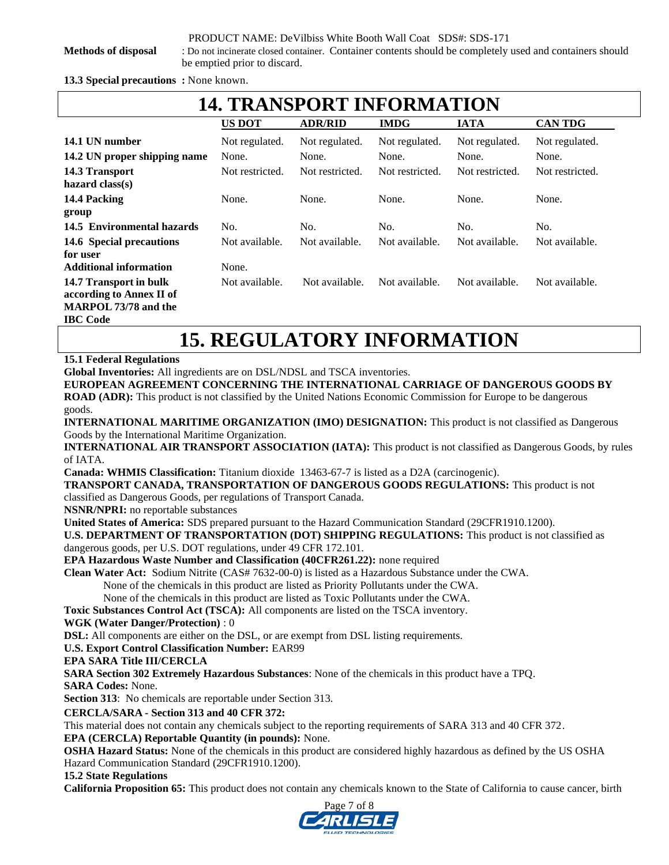**Methods of disposal** : Do not incinerate closed container.Container contents should be completely used and containers should be emptied prior to discard.

**13.3 Special precautions :** None known.

| <b>14. TRANSPORT INFORMATION</b>                                                                     |                 |                 |                 |                 |                 |  |
|------------------------------------------------------------------------------------------------------|-----------------|-----------------|-----------------|-----------------|-----------------|--|
|                                                                                                      | <b>US DOT</b>   | <b>ADR/RID</b>  | <b>IMDG</b>     | <b>IATA</b>     | <b>CAN TDG</b>  |  |
| 14.1 UN number                                                                                       | Not regulated.  | Not regulated.  | Not regulated.  | Not regulated.  | Not regulated.  |  |
| 14.2 UN proper shipping name                                                                         | None.           | None.           | None.           | None.           | None.           |  |
| 14.3 Transport<br>hazard $class(s)$                                                                  | Not restricted. | Not restricted. | Not restricted. | Not restricted. | Not restricted. |  |
| 14.4 Packing<br>group                                                                                | None.           | None.           | None.           | None.           | None.           |  |
| 14.5 Environmental hazards                                                                           | No.             | No.             | No.             | No.             | No.             |  |
| 14.6 Special precautions<br>for user                                                                 | Not available.  | Not available.  | Not available.  | Not available.  | Not available.  |  |
| <b>Additional information</b>                                                                        | None.           |                 |                 |                 |                 |  |
| 14.7 Transport in bulk<br>according to Annex II of<br><b>MARPOL 73/78 and the</b><br><b>IBC</b> Code | Not available.  | Not available.  | Not available.  | Not available.  | Not available.  |  |
| <b>15. REGULATORY INFORMATION</b>                                                                    |                 |                 |                 |                 |                 |  |

**15.1 Federal Regulations** 

**Global Inventories:** All ingredients are on DSL/NDSL and TSCA inventories.

**EUROPEAN AGREEMENT CONCERNING THE INTERNATIONAL CARRIAGE OF DANGEROUS GOODS BY** 

**ROAD (ADR):** This product is not classified by the United Nations Economic Commission for Europe to be dangerous goods.

**INTERNATIONAL MARITIME ORGANIZATION (IMO) DESIGNATION:** This product is not classified as Dangerous Goods by the International Maritime Organization.

**INTERNATIONAL AIR TRANSPORT ASSOCIATION (IATA):** This product is not classified as Dangerous Goods, by rules of IATA.

**Canada: WHMIS Classification:** Titanium dioxide 13463-67-7 is listed as a D2A (carcinogenic).

**TRANSPORT CANADA, TRANSPORTATION OF DANGEROUS GOODS REGULATIONS:** This product is not

classified as Dangerous Goods, per regulations of Transport Canada.

**NSNR/NPRI:** no reportable substances

**United States of America:** SDS prepared pursuant to the Hazard Communication Standard (29CFR1910.1200).

**U.S. DEPARTMENT OF TRANSPORTATION (DOT) SHIPPING REGULATIONS:** This product is not classified as dangerous goods, per U.S. DOT regulations, under 49 CFR 172.101.

**EPA Hazardous Waste Number and Classification (40CFR261.22):** none required

**Clean Water Act:** Sodium Nitrite (CAS# 7632-00-0) is listed as a Hazardous Substance under the CWA.

None of the chemicals in this product are listed as Priority Pollutants under the CWA.

None of the chemicals in this product are listed as Toxic Pollutants under the CWA.

**Toxic Substances Control Act (TSCA):** All components are listed on the TSCA inventory.

#### **WGK (Water Danger/Protection)** : 0

**DSL:** All components are either on the DSL, or are exempt from DSL listing requirements.

**U.S. Export Control Classification Number:** EAR99

#### **EPA SARA Title III/CERCLA**

**SARA Section 302 Extremely Hazardous Substances**: None of the chemicals in this product have a TPQ.

**SARA Codes:** None.

**Section 313**: No chemicals are reportable under Section 313.

#### **CERCLA/SARA - Section 313 and 40 CFR 372:**

This material does not contain any chemicals subject to the reporting requirements of SARA 313 and 40 CFR 372.

#### **EPA (CERCLA) Reportable Quantity (in pounds):** None.

**OSHA Hazard Status:** None of the chemicals in this product are considered highly hazardous as defined by the US OSHA Hazard Communication Standard (29CFR1910.1200).

#### **15.2 State Regulations**

**California Proposition 65:** This product does not contain any chemicals known to the State of California to cause cancer, birth